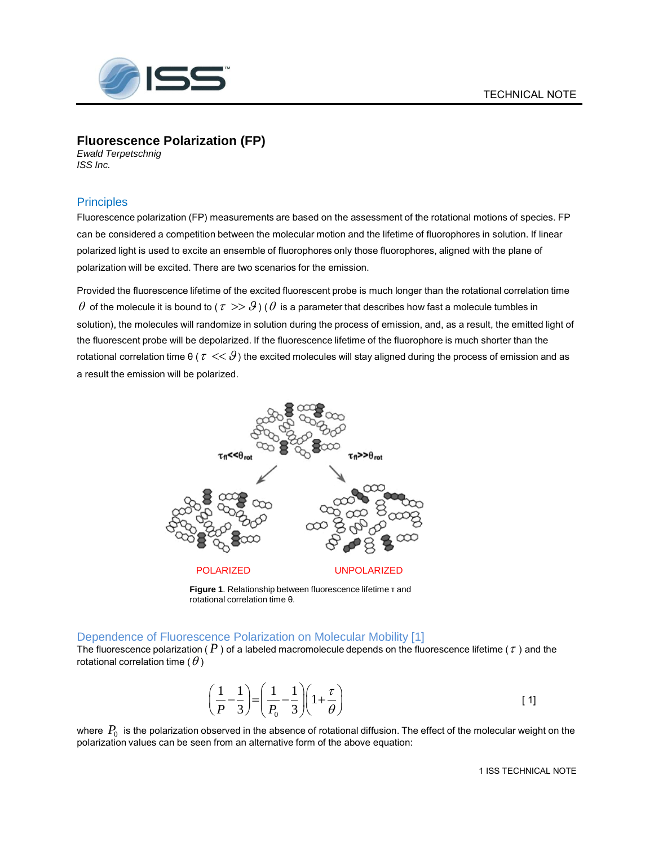

# **Fluorescence Polarization (FP)**

*Ewald Terpetschnig ISS Inc.*

# **Principles**

Fluorescence polarization (FP) measurements are based on the assessment of the rotational motions of species. FP can be considered a competition between the molecular motion and the lifetime of fluorophores in solution. If linear polarized light is used to excite an ensemble of fluorophores only those fluorophores, aligned with the plane of polarization will be excited. There are two scenarios for the emission.

Provided the fluorescence lifetime of the excited fluorescent probe is much longer than the rotational correlation time  $\theta$  of the molecule it is bound to (  $\tau >> \theta$  ) (  $\theta$  is a parameter that describes how fast a molecule tumbles in solution), the molecules will randomize in solution during the process of emission, and, as a result, the emitted light of the fluorescent probe will be depolarized. If the fluorescence lifetime of the fluorophore is much shorter than the rotational correlation time θ (  $\tau << 9$  ) the excited molecules will stay aligned during the process of emission and as a result the emission will be polarized.



**Figure 1**. Relationship between fluorescence lifetime τ and rotational correlation time θ.

### Dependence of Fluorescence Polarization on Molecular Mobility [1]

The fluorescence polarization (  $P$  ) of a labeled macromolecule depends on the fluorescence lifetime (  $\tau$  ) and the rotational correlation time (  $\theta$  )

$$
\left(\frac{1}{P} - \frac{1}{3}\right) = \left(\frac{1}{P_0} - \frac{1}{3}\right)\left(1 + \frac{\tau}{\theta}\right)
$$
 [1]

where  $\,P_0\,$  is the polarization observed in the absence of rotational diffusion. The effect of the molecular weight on the polarization values can be seen from an alternative form of the above equation: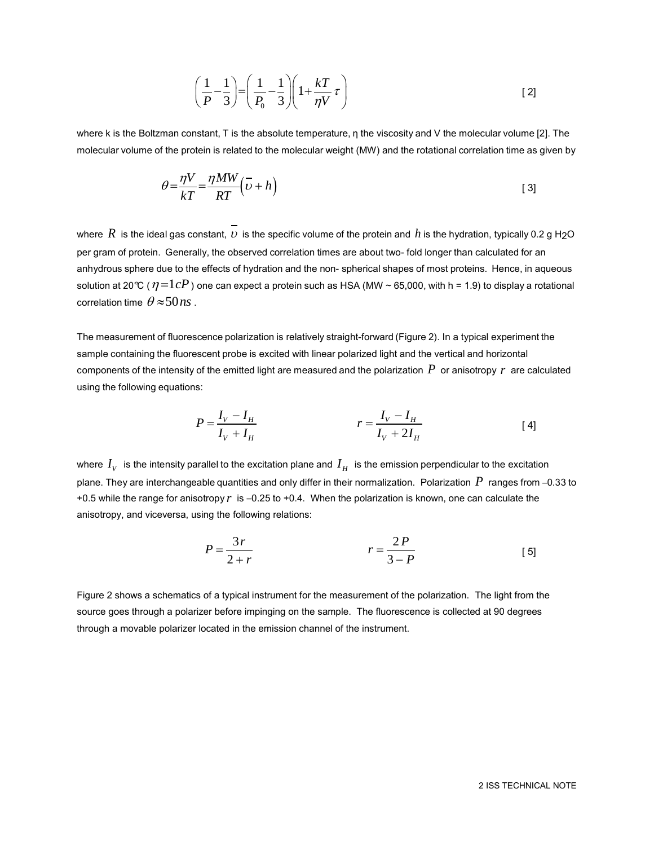$$
\left(\frac{1}{P} - \frac{1}{3}\right) = \left(\frac{1}{P_0} - \frac{1}{3}\right)\left(1 + \frac{kT}{\eta V}\tau\right)
$$
\n<sup>(2)</sup>

where k is the Boltzman constant, T is the absolute temperature, η the viscosity and V the molecular volume [2]. The molecular volume of the protein is related to the molecular weight (MW) and the rotational correlation time as given by

$$
\theta = \frac{\eta V}{kT} = \frac{\eta MW}{RT} (\overline{\upsilon} + h)
$$
 [3]

where  $\,R\,$  is the ideal gas constant,  $\,\nu\,$  is the specific volume of the protein and  $\,h$  is the hydration, typically 0.2 g H<sub>2</sub>O per gram of protein. Generally, the observed correlation times are about two- fold longer than calculated for an anhydrous sphere due to the effects of hydration and the non- spherical shapes of most proteins. Hence, in aqueous solution at 20℃ (  $\eta$   $=$   $1$   $cP$  ) one can expect a protein such as HSA (MW ~ 65,000, with h = 1.9) to display a rotational correlation time  $\theta \! \approx \! 50 \textit{ns}$  .

The measurement of fluorescence polarization is relatively straight-forward (Figure 2). In a typical experiment the sample containing the fluorescent probe is excited with linear polarized light and the vertical and horizontal components of the intensity of the emitted light are measured and the polarization  $\,P\,$  or anisotropy  $\,r\,$  are calculated using the following equations:

$$
P = \frac{I_V - I_H}{I_V + I_H} \qquad \qquad r = \frac{I_V - I_H}{I_V + 2I_H} \tag{4}
$$

where  $I_{_V}$  is the intensity parallel to the excitation plane and  $\,I_{_H}\,$  is the emission perpendicular to the excitation plane. They are interchangeable quantities and only differ in their normalization. Polarization  $\,P\,$  ranges from –0.33 to +0.5 while the range for anisotropy r is -0.25 to +0.4. When the polarization is known, one can calculate the anisotropy, and viceversa, using the following relations:

$$
P = \frac{3r}{2+r} \qquad \qquad r = \frac{2P}{3-P} \qquad \qquad [5]
$$

Figure 2 shows a schematics of a typical instrument for the measurement of the polarization. The light from the source goes through a polarizer before impinging on the sample. The fluorescence is collected at 90 degrees through a movable polarizer located in the emission channel of the instrument.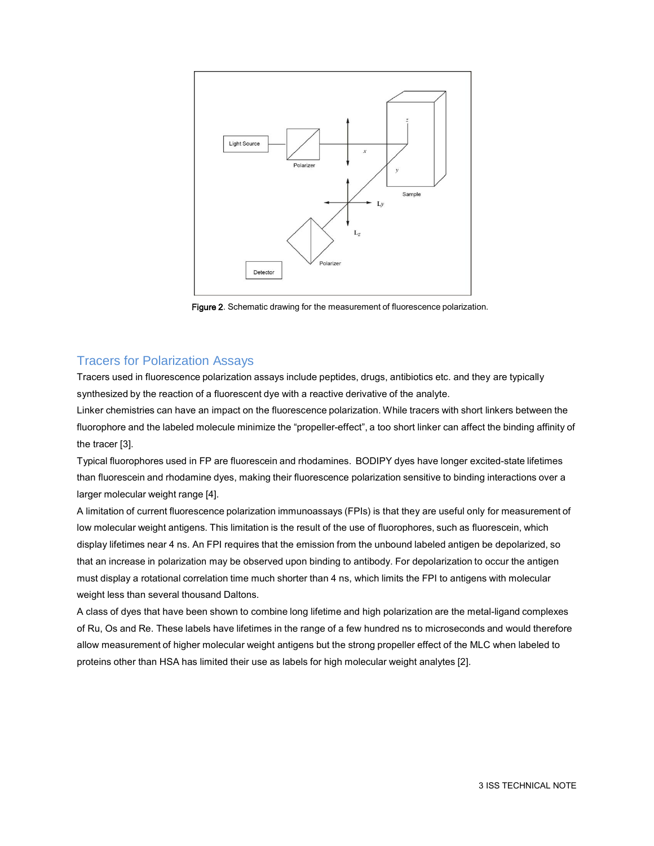

Figure 2. Schematic drawing for the measurement of fluorescence polarization.

### Tracers for Polarization Assays

Tracers used in fluorescence polarization assays include peptides, drugs, antibiotics etc. and they are typically synthesized by the reaction of a fluorescent dye with a reactive derivative of the analyte.

Linker chemistries can have an impact on the fluorescence polarization. While tracers with short linkers between the fluorophore and the labeled molecule minimize the "propeller-effect", a too short linker can affect the binding affinity of the tracer [3].

Typical fluorophores used in FP are fluorescein and rhodamines. BODIPY dyes have longer excited-state lifetimes than fluorescein and rhodamine dyes, making their fluorescence polarization sensitive to binding interactions over a larger molecular weight range [4].

A limitation of current fluorescence polarization immunoassays (FPIs) is that they are useful only for measurement of low molecular weight antigens. This limitation is the result of the use of fluorophores, such as fluorescein, which display lifetimes near 4 ns. An FPI requires that the emission from the unbound labeled antigen be depolarized, so that an increase in polarization may be observed upon binding to antibody. For depolarization to occur the antigen must display a rotational correlation time much shorter than 4 ns, which limits the FPI to antigens with molecular weight less than several thousand Daltons.

A class of dyes that have been shown to combine long lifetime and high polarization are the metal-ligand complexes of Ru, Os and Re. These labels have lifetimes in the range of a few hundred ns to microseconds and would therefore allow measurement of higher molecular weight antigens but the strong propeller effect of the MLC when labeled to proteins other than HSA has limited their use as labels for high molecular weight analytes [2].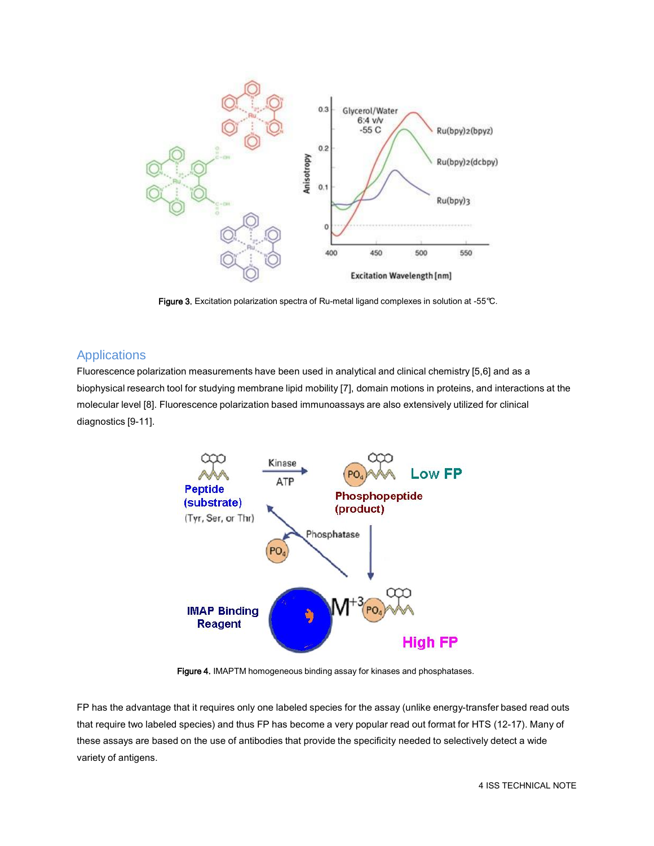

Figure 3. Excitation polarization spectra of Ru-metal ligand complexes in solution at -55°C.

# **Applications**

Fluorescence polarization measurements have been used in analytical and clinical chemistry [5,6] and as a biophysical research tool for studying membrane lipid mobility [7], domain motions in proteins, and interactions at the molecular level [8]. Fluorescence polarization based immunoassays are also extensively utilized for clinical diagnostics [9-11].



Figure 4. IMAPTM homogeneous binding assay for kinases and phosphatases.

FP has the advantage that it requires only one labeled species for the assay (unlike energy-transfer based read outs that require two labeled species) and thus FP has become a very popular read out format for HTS (12-17). Many of these assays are based on the use of antibodies that provide the specificity needed to selectively detect a wide variety of antigens.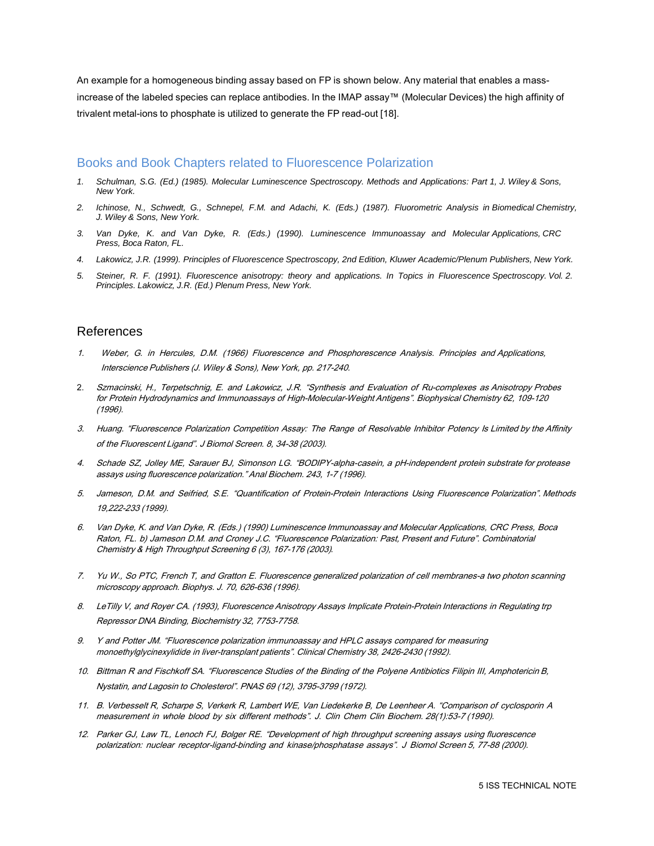An example for a homogeneous binding assay based on FP is shown below. Any material that enables a massincrease of the labeled species can replace antibodies. In the IMAP assay™ (Molecular Devices) the high affinity of trivalent metal-ions to phosphate is utilized to generate the FP read-out [18].

#### Books and Book Chapters related to Fluorescence Polarization

- *1. Schulman, S.G. (Ed.) (1985). Molecular Luminescence Spectroscopy. Methods and Applications: Part 1, J. Wiley & Sons, New York.*
- 2. Ichinose, N., Schwedt, G., Schnepel, F.M. and Adachi, K. (Eds.) (1987). Fluorometric Analysis in Biomedical Chemistry, *J. Wiley & Sons, New York.*
- *3. Van Dyke, K. and Van Dyke, R. (Eds.) (1990). Luminescence Immunoassay and Molecular Applications, CRC Press, Boca Raton, FL.*
- *4. Lakowicz, J.R. (1999). Principles of Fluorescence Spectroscopy, 2nd Edition, Kluwer Academic/Plenum Publishers, New York.*
- 5. Steiner, R. F. (1991). Fluorescence anisotropy: theory and applications. In Topics in Fluorescence Spectroscopy. Vol. 2. *Principles. Lakowicz, J.R. (Ed.) Plenum Press, New York.*

## References

- 1. Weber, G. in Hercules, D.M. (1966) Fluorescence and Phosphorescence Analysis. Principles and Applications, Interscience Publishers (J. Wiley & Sons), New York, pp. 217-240.
- 2. Szmacinski, H., Terpetschnig, E. and Lakowicz, J.R. "Synthesis and Evaluation of Ru-complexes as Anisotropy Probes for Protein Hydrodynamics and Immunoassays of High-Molecular-Weight Antigens". Biophysical Chemistry 62, 109-120 (1996).
- 3. Huang. "Fluorescence Polarization Competition Assay: The Range of Resolvable Inhibitor Potency Is Limited by the Affinity of the Fluorescent Ligand". J Biomol Screen. 8, 34-38 (2003).
- 4. Schade SZ, Jolley ME, Sarauer BJ, Simonson LG. "BODIPY-alpha-casein, a pH-independent protein substrate for protease assays using fluorescence polarization." Anal Biochem. 243, 1-7 (1996).
- 5. Jameson, D.M. and Seifried, S.E. "Quantification of Protein-Protein Interactions Using Fluorescence Polarization". Methods 19,222-233 (1999).
- 6. Van Dyke, K. and Van Dyke, R. (Eds.) (1990) Luminescence Immunoassay and Molecular Applications, CRC Press, Boca Raton, FL. b) Jameson D.M. and Croney J.C. "Fluorescence Polarization: Past, Present and Future". Combinatorial Chemistry & High Throughput Screening 6 (3), 167-176 (2003)*.*
- 7. Yu W., So PTC, French T, and Gratton E. Fluorescence generalized polarization of cell membranes-a two photon scanning microscopy approach. Biophys. J. 70, 626-636 (1996).
- 8. LeTilly V, and Royer CA. (1993), Fluorescence Anisotropy Assays Implicate Protein-Protein Interactions in Regulating trp Repressor DNA Binding, Biochemistry 32, 7753-7758.
- 9. Y and Potter JM. "Fluorescence polarization immunoassay and HPLC assays compared for measuring monoethylglycinexylidide in liver-transplant patients". Clinical Chemistry 38, 2426-2430 (1992).
- 10. Bittman R and Fischkoff SA. "Fluorescence Studies of the Binding of the Polyene Antibiotics Filipin III, Amphotericin B, Nystatin, and Lagosin to Cholesterol". PNAS 69 (12), 3795-3799 (1972).
- 11. B. Verbesselt R, Scharpe S, Verkerk R, Lambert WE, Van Liedekerke B, De Leenheer A. "Comparison of cyclosporin A measurement in whole blood by six different methods". J. Clin Chem Clin Biochem. 28(1):53-7 (1990).
- 12. Parker GJ, Law TL, Lenoch FJ, Bolger RE. "Development of high throughput screening assays using fluorescence polarization: nuclear receptor-ligand-binding and kinase/phosphatase assays". J Biomol Screen 5, 77-88 (2000).